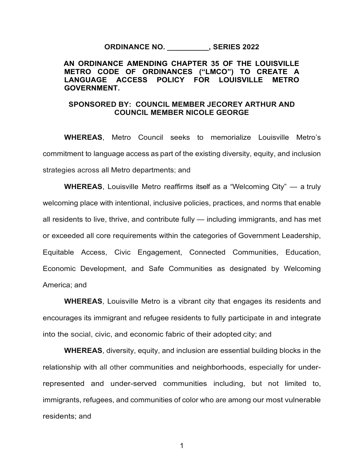**ORDINANCE NO. \_\_\_\_\_\_\_\_\_\_, SERIES 2022**

**AN ORDINANCE AMENDING CHAPTER 35 OF THE LOUISVILLE METRO CODE OF ORDINANCES ("LMCO") TO CREATE A LANGUAGE ACCESS POLICY FOR LOUISVILLE METRO GOVERNMENT.**

## **SPONSORED BY: COUNCIL MEMBER JECOREY ARTHUR AND COUNCIL MEMBER NICOLE GEORGE**

**WHEREAS**, Metro Council seeks to memorialize Louisville Metro's commitment to language access as part of the existing diversity, equity, and inclusion strategies across all Metro departments; and

**WHEREAS**, Louisville Metro reaffirms itself as a "Welcoming City" — a truly welcoming place with intentional, inclusive policies, practices, and norms that enable all residents to live, thrive, and contribute fully — including immigrants, and has met or exceeded all core requirements within the categories of Government Leadership, Equitable Access, Civic Engagement, Connected Communities, Education, Economic Development, and Safe Communities as designated by Welcoming America; and

**WHEREAS**, Louisville Metro is a vibrant city that engages its residents and encourages its immigrant and refugee residents to fully participate in and integrate into the social, civic, and economic fabric of their adopted city; and

**WHEREAS**, diversity, equity, and inclusion are essential building blocks in the relationship with all other communities and neighborhoods, especially for underrepresented and under-served communities including, but not limited to, immigrants, refugees, and communities of color who are among our most vulnerable residents; and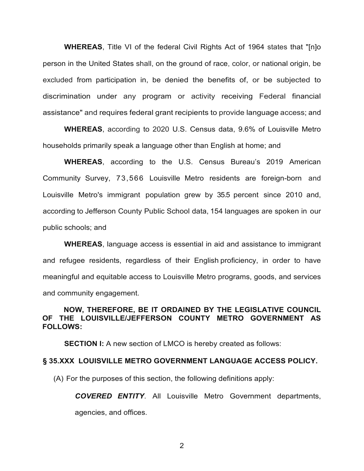**WHEREAS**, Title VI of the federal Civil Rights Act of 1964 states that "[n]o person in the United States shall, on the ground of race, color, or national origin, be excluded from participation in, be denied the benefits of, or be subjected to discrimination under any program or activity receiving Federal financial assistance" and requires federal grant recipients to provide language access; and

**WHEREAS**, according to 2020 U.S. Census data, 9.6% of Louisville Metro households primarily speak a language other than English at home; and

**WHEREAS**, according to the U.S. Census Bureau's 2019 American Community Survey, 73,566 Louisville Metro residents are foreign-born and Louisville Metro's immigrant population grew by 35.5 percent since 2010 and, according to Jefferson County Public School data, 154 languages are spoken in our public schools; and

**WHEREAS**, language access is essential in aid and assistance to immigrant and refugee residents, regardless of their English proficiency, in order to have meaningful and equitable access to Louisville Metro programs, goods, and services and community engagement.

## **NOW, THEREFORE, BE IT ORDAINED BY THE LEGISLATIVE COUNCIL OF THE LOUISVILLE/JEFFERSON COUNTY METRO GOVERNMENT AS FOLLOWS:**

**SECTION I:** A new section of LMCO is hereby created as follows:

## **§ 35.XXX LOUISVILLE METRO GOVERNMENT LANGUAGE ACCESS POLICY.**

(A) For the purposes of this section, the following definitions apply:

*COVERED ENTITY*. All Louisville Metro Government departments,

agencies, and offices.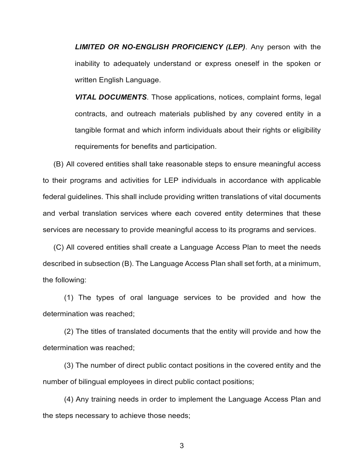*LIMITED OR NO-ENGLISH PROFICIENCY (LEP)*. Any person with the inability to adequately understand or express oneself in the spoken or written English Language.

*VITAL DOCUMENTS*. Those applications, notices, complaint forms, legal contracts, and outreach materials published by any covered entity in a tangible format and which inform individuals about their rights or eligibility requirements for benefits and participation.

(B) All covered entities shall take reasonable steps to ensure meaningful access to their programs and activities for LEP individuals in accordance with applicable federal guidelines. This shall include providing written translations of vital documents and verbal translation services where each covered entity determines that these services are necessary to provide meaningful access to its programs and services.

(C) All covered entities shall create a Language Access Plan to meet the needs described in subsection (B). The Language Access Plan shall set forth, at a minimum, the following:

(1) The types of oral language services to be provided and how the determination was reached;

(2) The titles of translated documents that the entity will provide and how the determination was reached;

(3) The number of direct public contact positions in the covered entity and the number of bilingual employees in direct public contact positions;

(4) Any training needs in order to implement the Language Access Plan and the steps necessary to achieve those needs;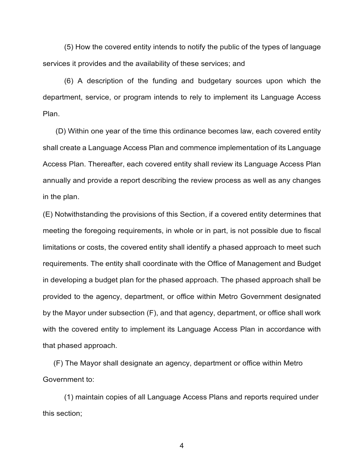(5) How the covered entity intends to notify the public of the types of language services it provides and the availability of these services; and

(6) A description of the funding and budgetary sources upon which the department, service, or program intends to rely to implement its Language Access Plan.

(D) Within one year of the time this ordinance becomes law, each covered entity shall create a Language Access Plan and commence implementation of its Language Access Plan. Thereafter, each covered entity shall review its Language Access Plan annually and provide a report describing the review process as well as any changes in the plan.

(E) Notwithstanding the provisions of this Section, if a covered entity determines that meeting the foregoing requirements, in whole or in part, is not possible due to fiscal limitations or costs, the covered entity shall identify a phased approach to meet such requirements. The entity shall coordinate with the Office of Management and Budget in developing a budget plan for the phased approach. The phased approach shall be provided to the agency, department, or office within Metro Government designated by the Mayor under subsection (F), and that agency, department, or office shall work with the covered entity to implement its Language Access Plan in accordance with that phased approach.

(F) The Mayor shall designate an agency, department or office within Metro Government to:

(1) maintain copies of all Language Access Plans and reports required under this section;